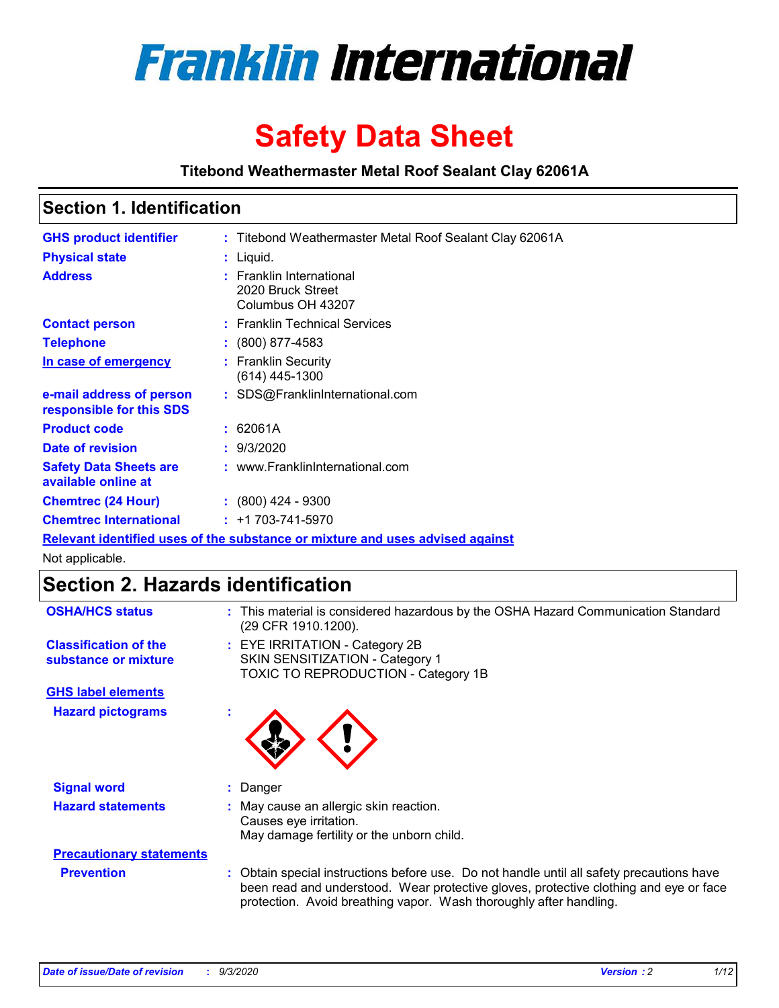

# **Safety Data Sheet**

**Titebond Weathermaster Metal Roof Sealant Clay 62061A**

### **Section 1. Identification**

| <b>GHS product identifier</b>                                                 |  | : Titebond Weathermaster Metal Roof Sealant Clay 62061A            |  |  |
|-------------------------------------------------------------------------------|--|--------------------------------------------------------------------|--|--|
| <b>Physical state</b>                                                         |  | : Liquid.                                                          |  |  |
| <b>Address</b>                                                                |  | : Franklin International<br>2020 Bruck Street<br>Columbus OH 43207 |  |  |
| <b>Contact person</b>                                                         |  | : Franklin Technical Services                                      |  |  |
| <b>Telephone</b>                                                              |  | $\colon$ (800) 877-4583                                            |  |  |
| In case of emergency                                                          |  | : Franklin Security<br>(614) 445-1300                              |  |  |
| e-mail address of person<br>responsible for this SDS                          |  | : SDS@FranklinInternational.com                                    |  |  |
| <b>Product code</b>                                                           |  | : 62061A                                                           |  |  |
| Date of revision                                                              |  | : 9/3/2020                                                         |  |  |
| <b>Safety Data Sheets are</b><br>available online at                          |  | : www.FranklinInternational.com                                    |  |  |
| <b>Chemtrec (24 Hour)</b>                                                     |  | : (800) 424 - 9300                                                 |  |  |
| <b>Chemtrec International</b>                                                 |  | $: +1703 - 741 - 5970$                                             |  |  |
| Relevant identified uses of the substance or mixture and uses advised against |  |                                                                    |  |  |

Not applicable.

## **Section 2. Hazards identification**

| <b>OSHA/HCS status</b>                               |   | : This material is considered hazardous by the OSHA Hazard Communication Standard<br>(29 CFR 1910.1200).                                                                                                                                                 |
|------------------------------------------------------|---|----------------------------------------------------------------------------------------------------------------------------------------------------------------------------------------------------------------------------------------------------------|
| <b>Classification of the</b><br>substance or mixture |   | : EYE IRRITATION - Category 2B<br>SKIN SENSITIZATION - Category 1<br>TOXIC TO REPRODUCTION - Category 1B                                                                                                                                                 |
| <b>GHS label elements</b>                            |   |                                                                                                                                                                                                                                                          |
| <b>Hazard pictograms</b>                             | ٠ |                                                                                                                                                                                                                                                          |
| <b>Signal word</b>                                   |   | : Danger                                                                                                                                                                                                                                                 |
| <b>Hazard statements</b>                             |   | : May cause an allergic skin reaction.<br>Causes eye irritation.<br>May damage fertility or the unborn child.                                                                                                                                            |
| <b>Precautionary statements</b>                      |   |                                                                                                                                                                                                                                                          |
| <b>Prevention</b>                                    |   | : Obtain special instructions before use. Do not handle until all safety precautions have<br>been read and understood. Wear protective gloves, protective clothing and eye or face<br>protection. Avoid breathing vapor. Wash thoroughly after handling. |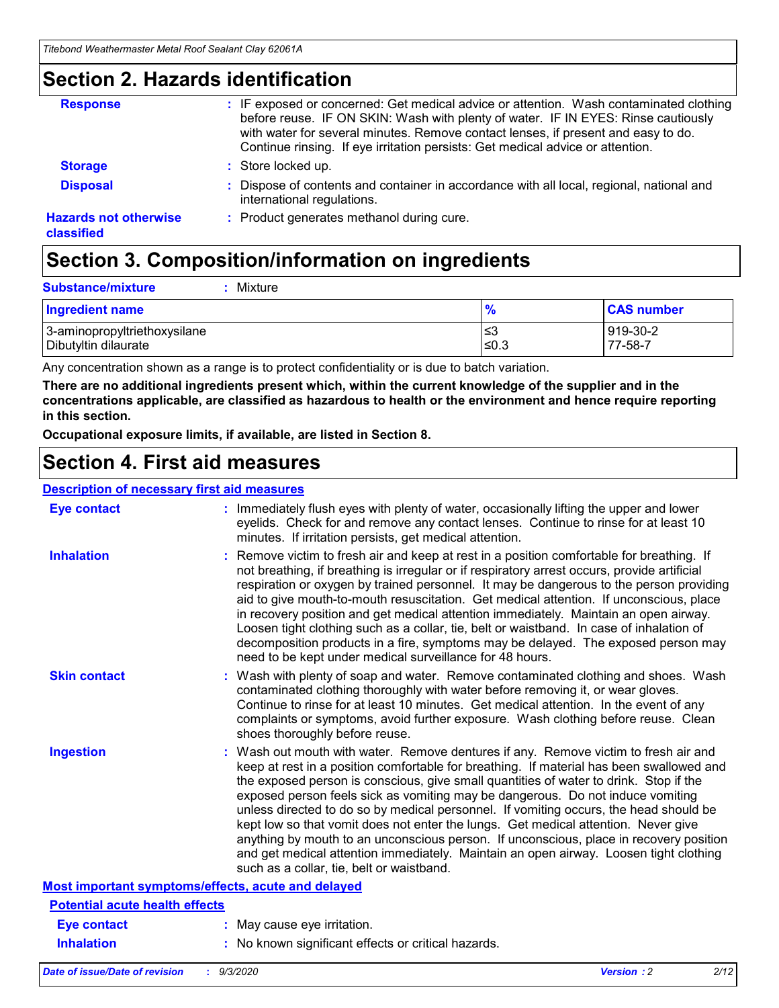### **Section 2. Hazards identification**

| <b>Response</b>                            | : IF exposed or concerned: Get medical advice or attention. Wash contaminated clothing<br>before reuse. IF ON SKIN: Wash with plenty of water. IF IN EYES: Rinse cautiously<br>with water for several minutes. Remove contact lenses, if present and easy to do.<br>Continue rinsing. If eye irritation persists: Get medical advice or attention. |
|--------------------------------------------|----------------------------------------------------------------------------------------------------------------------------------------------------------------------------------------------------------------------------------------------------------------------------------------------------------------------------------------------------|
| <b>Storage</b>                             | : Store locked up.                                                                                                                                                                                                                                                                                                                                 |
| <b>Disposal</b>                            | : Dispose of contents and container in accordance with all local, regional, national and<br>international regulations.                                                                                                                                                                                                                             |
| <b>Hazards not otherwise</b><br>classified | : Product generates methanol during cure.                                                                                                                                                                                                                                                                                                          |

## **Section 3. Composition/information on ingredients**

| <b>Substance/mixture</b> |  | : Mixture |
|--------------------------|--|-----------|
|--------------------------|--|-----------|

| <b>Ingredient name</b>       | $\frac{9}{6}$ | <b>CAS number</b> |
|------------------------------|---------------|-------------------|
| 3-aminopropyltriethoxysilane | ≤3            | 919-30-2          |
| Dibutyltin dilaurate         | ∣≤0.3         | 77-58-7           |

Any concentration shown as a range is to protect confidentiality or is due to batch variation.

**There are no additional ingredients present which, within the current knowledge of the supplier and in the concentrations applicable, are classified as hazardous to health or the environment and hence require reporting in this section.**

**Occupational exposure limits, if available, are listed in Section 8.**

### **Section 4. First aid measures**

| <b>Description of necessary first aid measures</b> |                                                                                                                                                                                                                                                                                                                                                                                                                                                                                                                                                                                                                                                                                                                                                                           |
|----------------------------------------------------|---------------------------------------------------------------------------------------------------------------------------------------------------------------------------------------------------------------------------------------------------------------------------------------------------------------------------------------------------------------------------------------------------------------------------------------------------------------------------------------------------------------------------------------------------------------------------------------------------------------------------------------------------------------------------------------------------------------------------------------------------------------------------|
| <b>Eye contact</b>                                 | : Immediately flush eyes with plenty of water, occasionally lifting the upper and lower<br>eyelids. Check for and remove any contact lenses. Continue to rinse for at least 10<br>minutes. If irritation persists, get medical attention.                                                                                                                                                                                                                                                                                                                                                                                                                                                                                                                                 |
| <b>Inhalation</b>                                  | : Remove victim to fresh air and keep at rest in a position comfortable for breathing. If<br>not breathing, if breathing is irregular or if respiratory arrest occurs, provide artificial<br>respiration or oxygen by trained personnel. It may be dangerous to the person providing<br>aid to give mouth-to-mouth resuscitation. Get medical attention. If unconscious, place<br>in recovery position and get medical attention immediately. Maintain an open airway.<br>Loosen tight clothing such as a collar, tie, belt or waistband. In case of inhalation of<br>decomposition products in a fire, symptoms may be delayed. The exposed person may<br>need to be kept under medical surveillance for 48 hours.                                                       |
| <b>Skin contact</b>                                | : Wash with plenty of soap and water. Remove contaminated clothing and shoes. Wash<br>contaminated clothing thoroughly with water before removing it, or wear gloves.<br>Continue to rinse for at least 10 minutes. Get medical attention. In the event of any<br>complaints or symptoms, avoid further exposure. Wash clothing before reuse. Clean<br>shoes thoroughly before reuse.                                                                                                                                                                                                                                                                                                                                                                                     |
| <b>Ingestion</b>                                   | : Wash out mouth with water. Remove dentures if any. Remove victim to fresh air and<br>keep at rest in a position comfortable for breathing. If material has been swallowed and<br>the exposed person is conscious, give small quantities of water to drink. Stop if the<br>exposed person feels sick as vomiting may be dangerous. Do not induce vomiting<br>unless directed to do so by medical personnel. If vomiting occurs, the head should be<br>kept low so that vomit does not enter the lungs. Get medical attention. Never give<br>anything by mouth to an unconscious person. If unconscious, place in recovery position<br>and get medical attention immediately. Maintain an open airway. Loosen tight clothing<br>such as a collar, tie, belt or waistband. |
| Most important symptoms/effects, acute and delayed |                                                                                                                                                                                                                                                                                                                                                                                                                                                                                                                                                                                                                                                                                                                                                                           |
| <b>Potential acute health effects</b>              |                                                                                                                                                                                                                                                                                                                                                                                                                                                                                                                                                                                                                                                                                                                                                                           |
| Eye contact                                        | : May cause eye irritation.                                                                                                                                                                                                                                                                                                                                                                                                                                                                                                                                                                                                                                                                                                                                               |
| <b>Inhalation</b>                                  | : No known significant effects or critical hazards.                                                                                                                                                                                                                                                                                                                                                                                                                                                                                                                                                                                                                                                                                                                       |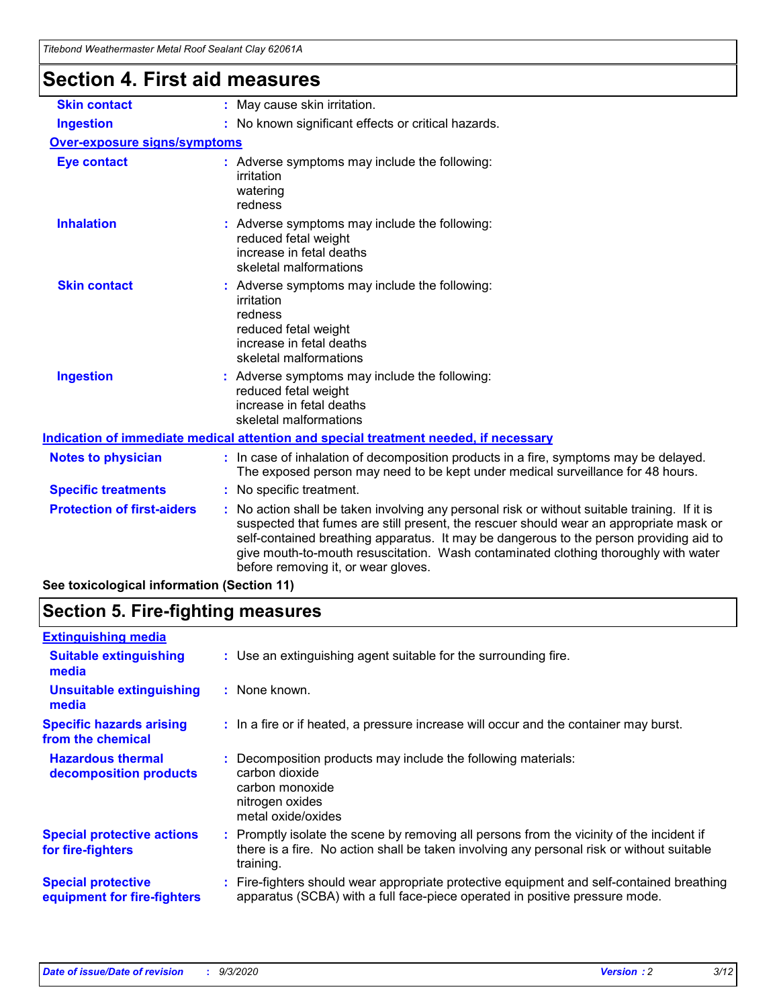| l itebond Weathermaster Metal Roof Sealant Clay 62061A<br><b>Section 4. First aid measures</b> |                                                                                                                                                                                                                                                                                                                                                                                                               |
|------------------------------------------------------------------------------------------------|---------------------------------------------------------------------------------------------------------------------------------------------------------------------------------------------------------------------------------------------------------------------------------------------------------------------------------------------------------------------------------------------------------------|
| <b>Skin contact</b>                                                                            | : May cause skin irritation.                                                                                                                                                                                                                                                                                                                                                                                  |
| <b>Ingestion</b>                                                                               | : No known significant effects or critical hazards.                                                                                                                                                                                                                                                                                                                                                           |
| <b>Over-exposure signs/symptoms</b>                                                            |                                                                                                                                                                                                                                                                                                                                                                                                               |
| <b>Eye contact</b>                                                                             | : Adverse symptoms may include the following:<br>irritation<br>watering<br>redness                                                                                                                                                                                                                                                                                                                            |
| <b>Inhalation</b>                                                                              | : Adverse symptoms may include the following:<br>reduced fetal weight<br>increase in fetal deaths<br>skeletal malformations                                                                                                                                                                                                                                                                                   |
| <b>Skin contact</b>                                                                            | Adverse symptoms may include the following:<br>irritation<br>redness<br>reduced fetal weight<br>increase in fetal deaths<br>skeletal malformations                                                                                                                                                                                                                                                            |
| <b>Ingestion</b>                                                                               | : Adverse symptoms may include the following:<br>reduced fetal weight<br>increase in fetal deaths<br>skeletal malformations                                                                                                                                                                                                                                                                                   |
|                                                                                                | Indication of immediate medical attention and special treatment needed, if necessary                                                                                                                                                                                                                                                                                                                          |
| <b>Notes to physician</b>                                                                      | : In case of inhalation of decomposition products in a fire, symptoms may be delayed.<br>The exposed person may need to be kept under medical surveillance for 48 hours.                                                                                                                                                                                                                                      |
| <b>Specific treatments</b>                                                                     | : No specific treatment.                                                                                                                                                                                                                                                                                                                                                                                      |
| <b>Protection of first-aiders</b>                                                              | No action shall be taken involving any personal risk or without suitable training. If it is<br>suspected that fumes are still present, the rescuer should wear an appropriate mask or<br>self-contained breathing apparatus. It may be dangerous to the person providing aid to<br>give mouth-to-mouth resuscitation. Wash contaminated clothing thoroughly with water<br>before removing it, or wear gloves. |

**See toxicological information (Section 11)**

### **Section 5. Fire-fighting measures**

| <b>Extinguishing media</b>                               |                                                                                                                                                                                                   |
|----------------------------------------------------------|---------------------------------------------------------------------------------------------------------------------------------------------------------------------------------------------------|
| <b>Suitable extinguishing</b><br>media                   | : Use an extinguishing agent suitable for the surrounding fire.                                                                                                                                   |
| <b>Unsuitable extinguishing</b><br>media                 | : None known.                                                                                                                                                                                     |
| <b>Specific hazards arising</b><br>from the chemical     | : In a fire or if heated, a pressure increase will occur and the container may burst.                                                                                                             |
| <b>Hazardous thermal</b><br>decomposition products       | Decomposition products may include the following materials:<br>carbon dioxide<br>carbon monoxide<br>nitrogen oxides<br>metal oxide/oxides                                                         |
| <b>Special protective actions</b><br>for fire-fighters   | Promptly isolate the scene by removing all persons from the vicinity of the incident if<br>there is a fire. No action shall be taken involving any personal risk or without suitable<br>training. |
| <b>Special protective</b><br>equipment for fire-fighters | Fire-fighters should wear appropriate protective equipment and self-contained breathing<br>apparatus (SCBA) with a full face-piece operated in positive pressure mode.                            |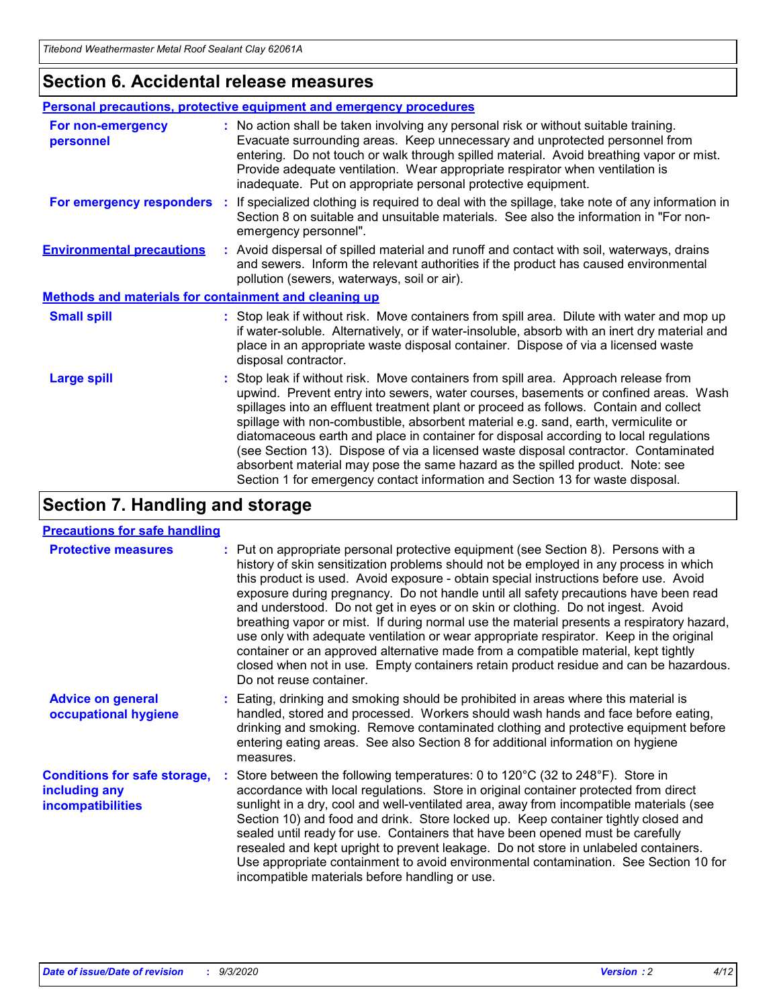### **Section 6. Accidental release measures**

|                                                              | Personal precautions, protective equipment and emergency procedures                                                                                                                                                                                                                                                                                                                                                                                                                                                                                                                                                                                                                                          |  |  |  |
|--------------------------------------------------------------|--------------------------------------------------------------------------------------------------------------------------------------------------------------------------------------------------------------------------------------------------------------------------------------------------------------------------------------------------------------------------------------------------------------------------------------------------------------------------------------------------------------------------------------------------------------------------------------------------------------------------------------------------------------------------------------------------------------|--|--|--|
| For non-emergency<br>personnel                               | : No action shall be taken involving any personal risk or without suitable training.<br>Evacuate surrounding areas. Keep unnecessary and unprotected personnel from<br>entering. Do not touch or walk through spilled material. Avoid breathing vapor or mist.<br>Provide adequate ventilation. Wear appropriate respirator when ventilation is<br>inadequate. Put on appropriate personal protective equipment.                                                                                                                                                                                                                                                                                             |  |  |  |
| For emergency responders                                     | : If specialized clothing is required to deal with the spillage, take note of any information in<br>Section 8 on suitable and unsuitable materials. See also the information in "For non-<br>emergency personnel".                                                                                                                                                                                                                                                                                                                                                                                                                                                                                           |  |  |  |
| <b>Environmental precautions</b>                             | : Avoid dispersal of spilled material and runoff and contact with soil, waterways, drains<br>and sewers. Inform the relevant authorities if the product has caused environmental<br>pollution (sewers, waterways, soil or air).                                                                                                                                                                                                                                                                                                                                                                                                                                                                              |  |  |  |
| <b>Methods and materials for containment and cleaning up</b> |                                                                                                                                                                                                                                                                                                                                                                                                                                                                                                                                                                                                                                                                                                              |  |  |  |
| <b>Small spill</b>                                           | : Stop leak if without risk. Move containers from spill area. Dilute with water and mop up<br>if water-soluble. Alternatively, or if water-insoluble, absorb with an inert dry material and<br>place in an appropriate waste disposal container. Dispose of via a licensed waste<br>disposal contractor.                                                                                                                                                                                                                                                                                                                                                                                                     |  |  |  |
| <b>Large spill</b>                                           | : Stop leak if without risk. Move containers from spill area. Approach release from<br>upwind. Prevent entry into sewers, water courses, basements or confined areas. Wash<br>spillages into an effluent treatment plant or proceed as follows. Contain and collect<br>spillage with non-combustible, absorbent material e.g. sand, earth, vermiculite or<br>diatomaceous earth and place in container for disposal according to local regulations<br>(see Section 13). Dispose of via a licensed waste disposal contractor. Contaminated<br>absorbent material may pose the same hazard as the spilled product. Note: see<br>Section 1 for emergency contact information and Section 13 for waste disposal. |  |  |  |

### **Section 7. Handling and storage**

### **Precautions for safe handling**

| <b>Protective measures</b>                                                       | : Put on appropriate personal protective equipment (see Section 8). Persons with a<br>history of skin sensitization problems should not be employed in any process in which<br>this product is used. Avoid exposure - obtain special instructions before use. Avoid<br>exposure during pregnancy. Do not handle until all safety precautions have been read<br>and understood. Do not get in eyes or on skin or clothing. Do not ingest. Avoid<br>breathing vapor or mist. If during normal use the material presents a respiratory hazard,<br>use only with adequate ventilation or wear appropriate respirator. Keep in the original<br>container or an approved alternative made from a compatible material, kept tightly<br>closed when not in use. Empty containers retain product residue and can be hazardous.<br>Do not reuse container. |
|----------------------------------------------------------------------------------|--------------------------------------------------------------------------------------------------------------------------------------------------------------------------------------------------------------------------------------------------------------------------------------------------------------------------------------------------------------------------------------------------------------------------------------------------------------------------------------------------------------------------------------------------------------------------------------------------------------------------------------------------------------------------------------------------------------------------------------------------------------------------------------------------------------------------------------------------|
| <b>Advice on general</b><br>occupational hygiene                                 | : Eating, drinking and smoking should be prohibited in areas where this material is<br>handled, stored and processed. Workers should wash hands and face before eating,<br>drinking and smoking. Remove contaminated clothing and protective equipment before<br>entering eating areas. See also Section 8 for additional information on hygiene<br>measures.                                                                                                                                                                                                                                                                                                                                                                                                                                                                                    |
| <b>Conditions for safe storage,</b><br>including any<br><i>incompatibilities</i> | Store between the following temperatures: 0 to 120°C (32 to 248°F). Store in<br>accordance with local regulations. Store in original container protected from direct<br>sunlight in a dry, cool and well-ventilated area, away from incompatible materials (see<br>Section 10) and food and drink. Store locked up. Keep container tightly closed and<br>sealed until ready for use. Containers that have been opened must be carefully<br>resealed and kept upright to prevent leakage. Do not store in unlabeled containers.<br>Use appropriate containment to avoid environmental contamination. See Section 10 for<br>incompatible materials before handling or use.                                                                                                                                                                         |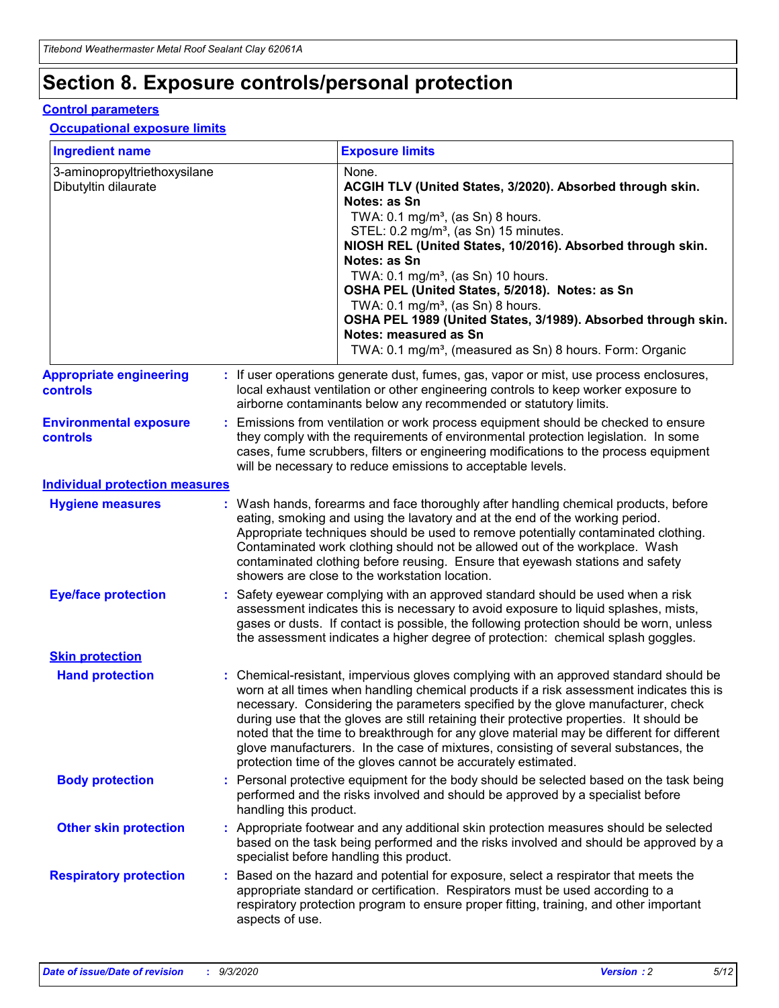## **Section 8. Exposure controls/personal protection**

### **Control parameters**

#### **Occupational exposure limits**

| <b>Ingredient name</b>                               |    |                        | <b>Exposure limits</b>                                                                                                                                                                                                                                                                                                                                                                                                                                                                                                                                                                                                 |
|------------------------------------------------------|----|------------------------|------------------------------------------------------------------------------------------------------------------------------------------------------------------------------------------------------------------------------------------------------------------------------------------------------------------------------------------------------------------------------------------------------------------------------------------------------------------------------------------------------------------------------------------------------------------------------------------------------------------------|
| 3-aminopropyltriethoxysilane<br>Dibutyltin dilaurate |    |                        | None.<br>ACGIH TLV (United States, 3/2020). Absorbed through skin.<br>Notes: as Sn<br>TWA: $0.1 \text{ mg/m}^3$ , (as Sn) 8 hours.<br>STEL: 0.2 mg/m <sup>3</sup> , (as Sn) 15 minutes.<br>NIOSH REL (United States, 10/2016). Absorbed through skin.<br>Notes: as Sn<br>TWA: 0.1 mg/m <sup>3</sup> , (as Sn) 10 hours.<br>OSHA PEL (United States, 5/2018). Notes: as Sn<br>TWA: $0.1 \text{ mg/m}^3$ , (as Sn) 8 hours.<br>OSHA PEL 1989 (United States, 3/1989). Absorbed through skin.<br>Notes: measured as Sn<br>TWA: 0.1 mg/m <sup>3</sup> , (measured as Sn) 8 hours. Form: Organic                            |
| <b>Appropriate engineering</b><br>controls           |    |                        | : If user operations generate dust, fumes, gas, vapor or mist, use process enclosures,<br>local exhaust ventilation or other engineering controls to keep worker exposure to<br>airborne contaminants below any recommended or statutory limits.                                                                                                                                                                                                                                                                                                                                                                       |
| <b>Environmental exposure</b><br>controls            |    |                        | Emissions from ventilation or work process equipment should be checked to ensure<br>they comply with the requirements of environmental protection legislation. In some<br>cases, fume scrubbers, filters or engineering modifications to the process equipment<br>will be necessary to reduce emissions to acceptable levels.                                                                                                                                                                                                                                                                                          |
| <b>Individual protection measures</b>                |    |                        |                                                                                                                                                                                                                                                                                                                                                                                                                                                                                                                                                                                                                        |
| <b>Hygiene measures</b>                              |    |                        | : Wash hands, forearms and face thoroughly after handling chemical products, before<br>eating, smoking and using the lavatory and at the end of the working period.<br>Appropriate techniques should be used to remove potentially contaminated clothing.<br>Contaminated work clothing should not be allowed out of the workplace. Wash<br>contaminated clothing before reusing. Ensure that eyewash stations and safety<br>showers are close to the workstation location.                                                                                                                                            |
| <b>Eye/face protection</b>                           |    |                        | : Safety eyewear complying with an approved standard should be used when a risk<br>assessment indicates this is necessary to avoid exposure to liquid splashes, mists,<br>gases or dusts. If contact is possible, the following protection should be worn, unless<br>the assessment indicates a higher degree of protection: chemical splash goggles.                                                                                                                                                                                                                                                                  |
| <b>Skin protection</b>                               |    |                        |                                                                                                                                                                                                                                                                                                                                                                                                                                                                                                                                                                                                                        |
| <b>Hand protection</b>                               |    |                        | : Chemical-resistant, impervious gloves complying with an approved standard should be<br>worn at all times when handling chemical products if a risk assessment indicates this is<br>necessary. Considering the parameters specified by the glove manufacturer, check<br>during use that the gloves are still retaining their protective properties. It should be<br>noted that the time to breakthrough for any glove material may be different for different<br>glove manufacturers. In the case of mixtures, consisting of several substances, the<br>protection time of the gloves cannot be accurately estimated. |
| <b>Body protection</b>                               |    | handling this product. | Personal protective equipment for the body should be selected based on the task being<br>performed and the risks involved and should be approved by a specialist before                                                                                                                                                                                                                                                                                                                                                                                                                                                |
| <b>Other skin protection</b>                         |    |                        | : Appropriate footwear and any additional skin protection measures should be selected<br>based on the task being performed and the risks involved and should be approved by a<br>specialist before handling this product.                                                                                                                                                                                                                                                                                                                                                                                              |
| <b>Respiratory protection</b>                        | ÷. | aspects of use.        | Based on the hazard and potential for exposure, select a respirator that meets the<br>appropriate standard or certification. Respirators must be used according to a<br>respiratory protection program to ensure proper fitting, training, and other important                                                                                                                                                                                                                                                                                                                                                         |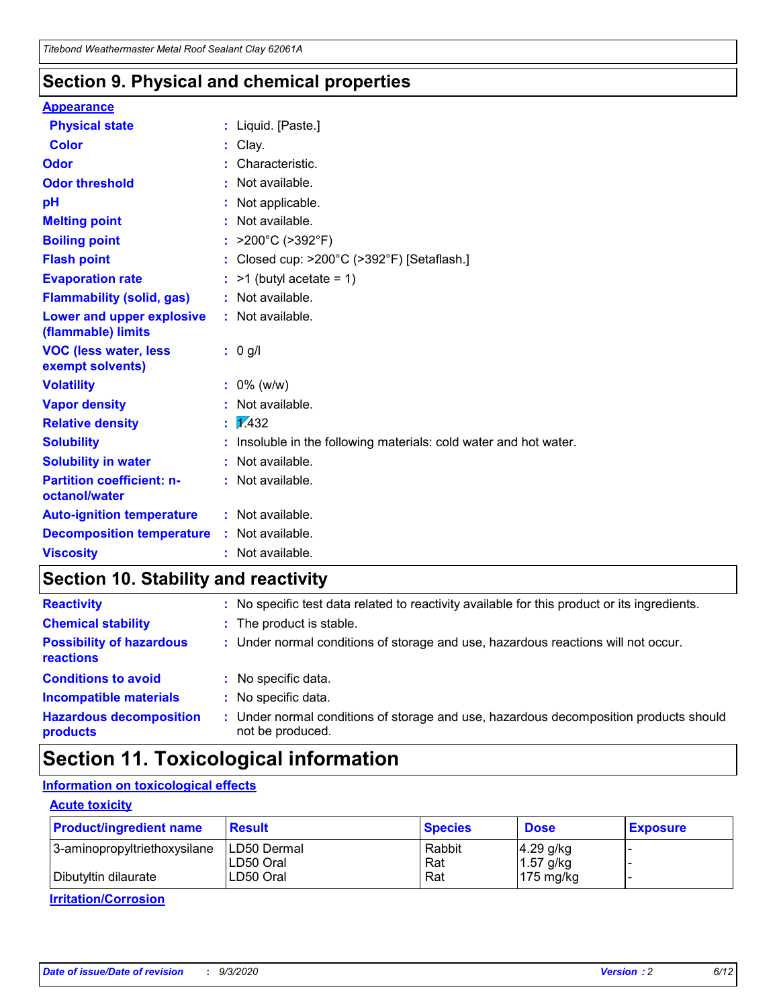### **Section 9. Physical and chemical properties**

#### **Appearance**

| <b>Physical state</b>                             | : Liquid. [Paste.]                                              |
|---------------------------------------------------|-----------------------------------------------------------------|
| <b>Color</b>                                      | Clay.                                                           |
| Odor                                              | Characteristic.                                                 |
| <b>Odor threshold</b>                             | Not available.                                                  |
| рH                                                | Not applicable.                                                 |
| <b>Melting point</b>                              | : Not available.                                                |
| <b>Boiling point</b>                              | >200°C (>392°F)                                                 |
| <b>Flash point</b>                                | Closed cup: >200°C (>392°F) [Setaflash.]                        |
| <b>Evaporation rate</b>                           | $:$ >1 (butyl acetate = 1)                                      |
| <b>Flammability (solid, gas)</b>                  | : Not available.                                                |
| Lower and upper explosive<br>(flammable) limits   | : Not available.                                                |
| <b>VOC (less water, less)</b><br>exempt solvents) | : 0 g/l                                                         |
| <b>Volatility</b>                                 | $: 0\%$ (w/w)                                                   |
| <b>Vapor density</b>                              | Not available.                                                  |
| <b>Relative density</b>                           | $\mathbf{1}$ $\mathbf{\sqrt{432}}$                              |
| <b>Solubility</b>                                 | Insoluble in the following materials: cold water and hot water. |
| <b>Solubility in water</b>                        | Not available.                                                  |
| <b>Partition coefficient: n-</b><br>octanol/water | $:$ Not available.                                              |
| <b>Auto-ignition temperature</b>                  | : Not available.                                                |
| <b>Decomposition temperature</b>                  | : Not available.                                                |
| <b>Viscosity</b>                                  | $:$ Not available.                                              |

### **Section 10. Stability and reactivity**

| <b>Reactivity</b>                            | : No specific test data related to reactivity available for this product or its ingredients.            |
|----------------------------------------------|---------------------------------------------------------------------------------------------------------|
| <b>Chemical stability</b>                    | : The product is stable.                                                                                |
| <b>Possibility of hazardous</b><br>reactions | : Under normal conditions of storage and use, hazardous reactions will not occur.                       |
| <b>Conditions to avoid</b>                   | : No specific data.                                                                                     |
| <b>Incompatible materials</b>                | : No specific data.                                                                                     |
| <b>Hazardous decomposition</b><br>products   | Under normal conditions of storage and use, hazardous decomposition products should<br>not be produced. |

## **Section 11. Toxicological information**

### **Information on toxicological effects**

### **Acute toxicity**

| <b>Product/ingredient name</b> | <b>Result</b>           | <b>Species</b> | <b>Dose</b>                | <b>Exposure</b> |
|--------------------------------|-------------------------|----------------|----------------------------|-----------------|
| 3-aminopropyltriethoxysilane   | <b>ILD50 Dermal</b>     | Rabbit         | 4.29 g/kg                  |                 |
| Dibutyltin dilaurate           | ILD50 Oral<br>LD50 Oral | Rat<br>Rat     | $1.57$ g/kg<br>175 $mg/kg$ |                 |
|                                |                         |                |                            |                 |

**Irritation/Corrosion**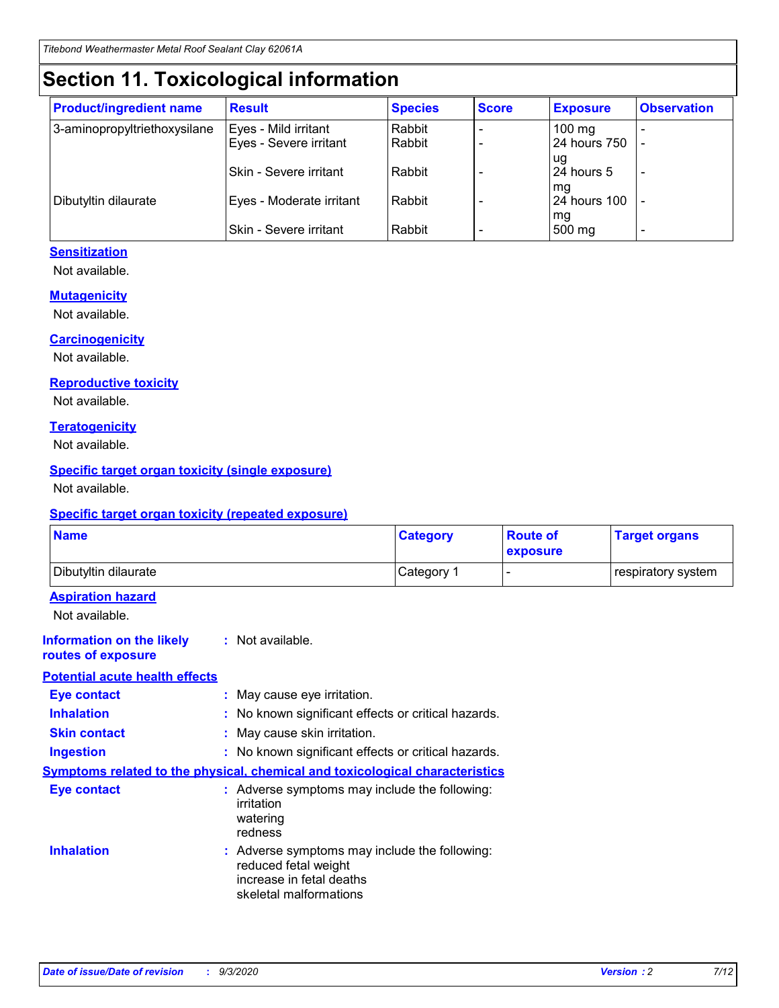## **Section 11. Toxicological information**

| <b>Product/ingredient name</b> | <b>Result</b>                 | <b>Species</b> | <b>Score</b> | <b>Exposure</b>           | <b>Observation</b> |
|--------------------------------|-------------------------------|----------------|--------------|---------------------------|--------------------|
| 3-aminopropyltriethoxysilane   | Eyes - Mild irritant          | Rabbit         |              | $100$ mg                  |                    |
|                                | Eyes - Severe irritant        | Rabbit         |              | 24 hours 750              |                    |
|                                |                               |                |              | ug                        |                    |
|                                | <b>Skin - Severe irritant</b> | Rabbit         |              | 24 hours 5                | ۰                  |
| Dibutyltin dilaurate           | Eyes - Moderate irritant      | Rabbit         |              | mq<br><b>24 hours 100</b> |                    |
|                                |                               |                |              | mg                        |                    |
|                                | Skin - Severe irritant        | Rabbit         |              | 500 mg                    |                    |

### **Sensitization**

Not available.

### **Mutagenicity**

Not available.

#### **Carcinogenicity**

Not available.

#### **Reproductive toxicity**

Not available.

### **Teratogenicity**

Not available.

### **Specific target organ toxicity (single exposure)**

Not available.

### **Specific target organ toxicity (repeated exposure)**

| <b>Name</b>                                                                         |                                                                            | <b>Category</b>                                     | <b>Route of</b><br>exposure | <b>Target organs</b> |  |  |
|-------------------------------------------------------------------------------------|----------------------------------------------------------------------------|-----------------------------------------------------|-----------------------------|----------------------|--|--|
| Dibutyltin dilaurate                                                                |                                                                            | Category 1                                          | -                           | respiratory system   |  |  |
| <b>Aspiration hazard</b><br>Not available.                                          |                                                                            |                                                     |                             |                      |  |  |
| <b>Information on the likely</b><br>routes of exposure                              | : Not available.                                                           |                                                     |                             |                      |  |  |
| <b>Potential acute health effects</b>                                               |                                                                            |                                                     |                             |                      |  |  |
| <b>Eye contact</b>                                                                  | : May cause eye irritation.                                                |                                                     |                             |                      |  |  |
| <b>Inhalation</b>                                                                   |                                                                            | : No known significant effects or critical hazards. |                             |                      |  |  |
| <b>Skin contact</b>                                                                 |                                                                            | : May cause skin irritation.                        |                             |                      |  |  |
| <b>Ingestion</b>                                                                    |                                                                            | : No known significant effects or critical hazards. |                             |                      |  |  |
| <b>Symptoms related to the physical, chemical and toxicological characteristics</b> |                                                                            |                                                     |                             |                      |  |  |
| <b>Eye contact</b>                                                                  | irritation<br>watering<br>redness                                          | : Adverse symptoms may include the following:       |                             |                      |  |  |
| <b>Inhalation</b>                                                                   | reduced fetal weight<br>increase in fetal deaths<br>skeletal malformations | : Adverse symptoms may include the following:       |                             |                      |  |  |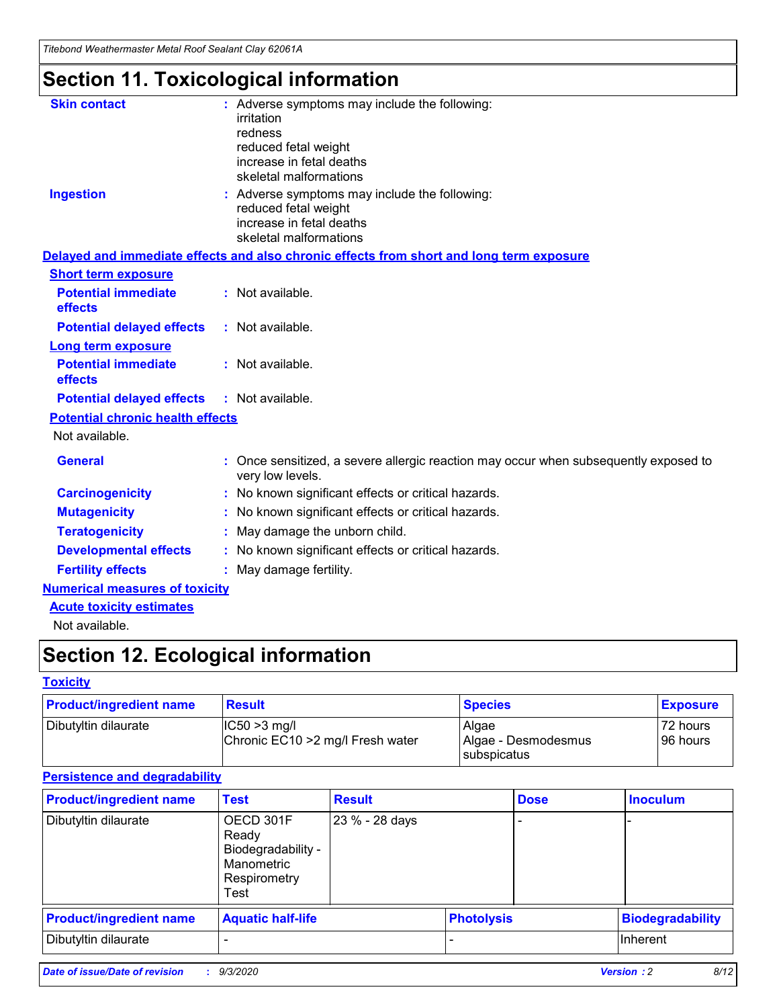*Titebond Weathermaster Metal Roof Sealant Clay 62061A*

## **Section 11. Toxicological information**

| <b>Skin contact</b>                     | : Adverse symptoms may include the following:<br>irritation                                            |
|-----------------------------------------|--------------------------------------------------------------------------------------------------------|
|                                         | redness                                                                                                |
|                                         | reduced fetal weight                                                                                   |
|                                         | increase in fetal deaths                                                                               |
|                                         | skeletal malformations                                                                                 |
| <b>Ingestion</b>                        | : Adverse symptoms may include the following:<br>reduced fetal weight                                  |
|                                         | increase in fetal deaths                                                                               |
|                                         | skeletal malformations                                                                                 |
|                                         | Delayed and immediate effects and also chronic effects from short and long term exposure               |
| <b>Short term exposure</b>              |                                                                                                        |
| <b>Potential immediate</b><br>effects   | : Not available.                                                                                       |
| <b>Potential delayed effects</b>        | : Not available.                                                                                       |
| <b>Long term exposure</b>               |                                                                                                        |
| <b>Potential immediate</b><br>effects   | : Not available.                                                                                       |
| <b>Potential delayed effects</b>        | : Not available.                                                                                       |
| <b>Potential chronic health effects</b> |                                                                                                        |
| Not available.                          |                                                                                                        |
| <b>General</b>                          | Once sensitized, a severe allergic reaction may occur when subsequently exposed to<br>very low levels. |
| <b>Carcinogenicity</b>                  | No known significant effects or critical hazards.                                                      |
| <b>Mutagenicity</b>                     | : No known significant effects or critical hazards.                                                    |
| <b>Teratogenicity</b>                   | May damage the unborn child.                                                                           |
| <b>Developmental effects</b>            | : No known significant effects or critical hazards.                                                    |
| <b>Fertility effects</b>                | : May damage fertility.                                                                                |
| <b>Numerical measures of toxicity</b>   |                                                                                                        |
| <b>Acute toxicity estimates</b>         |                                                                                                        |
| Not ovoilable                           |                                                                                                        |

Not available.

## **Section 12. Ecological information**

### **Toxicity**

| <b>Product/ingredient name</b> | <b>Result</b>                                       | <b>Species</b>               | <b>Exposure</b>       |
|--------------------------------|-----------------------------------------------------|------------------------------|-----------------------|
| Dibutyltin dilaurate           | $ CC50>3$ mg/l<br>Chronic EC10 > 2 mg/l Fresh water | Algae<br>Algae - Desmodesmus | 72 hours<br>196 hours |
|                                |                                                     | <b>I</b> subspicatus         |                       |

### **Persistence and degradability**

| <b>Product/ingredient name</b> | <b>Test</b>                                                                    | <b>Result</b>  |                   | <b>Dose</b> | <b>Inoculum</b>         |
|--------------------------------|--------------------------------------------------------------------------------|----------------|-------------------|-------------|-------------------------|
| Dibutyltin dilaurate           | OECD 301F<br>Ready<br>Biodegradability -<br>Manometric<br>Respirometry<br>Test | 23 % - 28 days |                   |             |                         |
| <b>Product/ingredient name</b> | <b>Aquatic half-life</b>                                                       |                | <b>Photolysis</b> |             | <b>Biodegradability</b> |
| Dibutyltin dilaurate           |                                                                                |                |                   |             | <b>Inherent</b>         |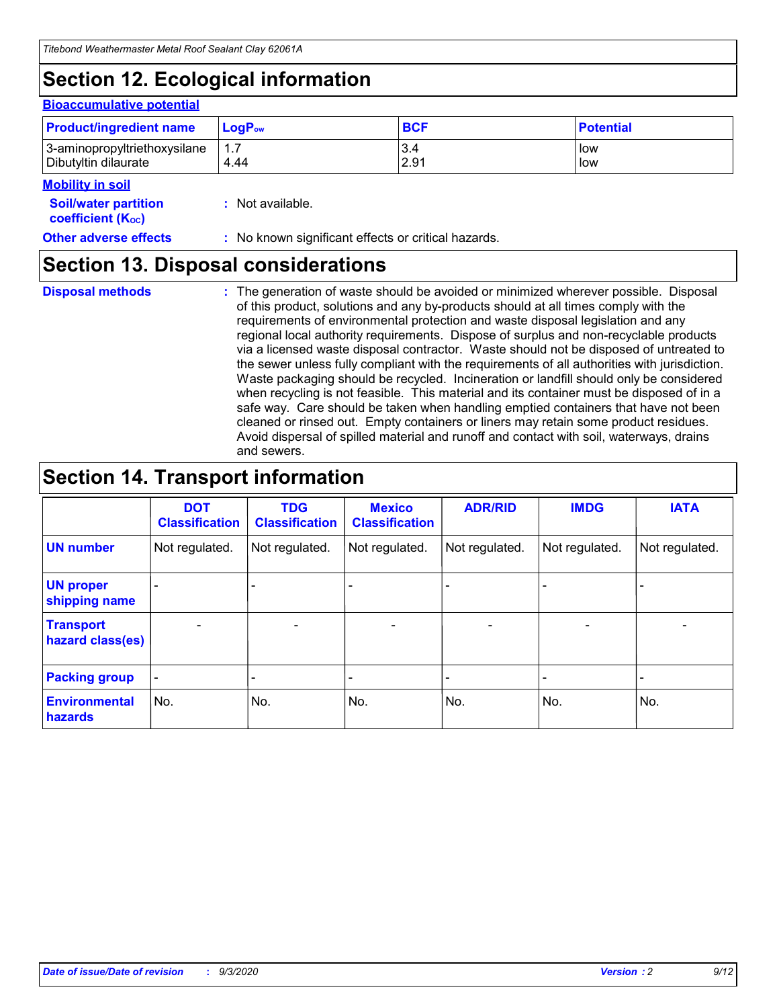## **Section 12. Ecological information**

#### **Bioaccumulative potential**

| <b>Product/ingredient name</b> | $LoaPow$ | <b>BCF</b> | <b>Potential</b> |
|--------------------------------|----------|------------|------------------|
| 3-aminopropyltriethoxysilane   | 1.7      | 3.4        | low              |
| Dibutyltin dilaurate           | 4.44     | 2.91       | low              |

### **Mobility in soil**

| <b>MODINA IN SON</b>                                          |                                                     |
|---------------------------------------------------------------|-----------------------------------------------------|
| <b>Soil/water partition</b><br>coefficient (K <sub>oc</sub> ) | : Not available.                                    |
| <b>Other adverse effects</b>                                  | : No known significant effects or critical hazards. |

### **Section 13. Disposal considerations**

**Disposal methods :**

The generation of waste should be avoided or minimized wherever possible. Disposal of this product, solutions and any by-products should at all times comply with the requirements of environmental protection and waste disposal legislation and any regional local authority requirements. Dispose of surplus and non-recyclable products via a licensed waste disposal contractor. Waste should not be disposed of untreated to the sewer unless fully compliant with the requirements of all authorities with jurisdiction. Waste packaging should be recycled. Incineration or landfill should only be considered when recycling is not feasible. This material and its container must be disposed of in a safe way. Care should be taken when handling emptied containers that have not been cleaned or rinsed out. Empty containers or liners may retain some product residues. Avoid dispersal of spilled material and runoff and contact with soil, waterways, drains and sewers.

## **Section 14. Transport information**

|                                      | <b>DOT</b><br><b>Classification</b> | <b>TDG</b><br><b>Classification</b> | <b>Mexico</b><br><b>Classification</b> | <b>ADR/RID</b>               | <b>IMDG</b>              | <b>IATA</b>                  |
|--------------------------------------|-------------------------------------|-------------------------------------|----------------------------------------|------------------------------|--------------------------|------------------------------|
| <b>UN number</b>                     | Not regulated.                      | Not regulated.                      | Not regulated.                         | Not regulated.               | Not regulated.           | Not regulated.               |
| <b>UN proper</b><br>shipping name    |                                     |                                     |                                        |                              |                          |                              |
| <b>Transport</b><br>hazard class(es) | ٠                                   | $\qquad \qquad \blacksquare$        | $\overline{\phantom{a}}$               | $\qquad \qquad \blacksquare$ | $\overline{\phantom{0}}$ | $\overline{\phantom{0}}$     |
| <b>Packing group</b>                 |                                     |                                     |                                        | -                            |                          | $\qquad \qquad \blacksquare$ |
| <b>Environmental</b><br>hazards      | No.                                 | No.                                 | No.                                    | No.                          | No.                      | No.                          |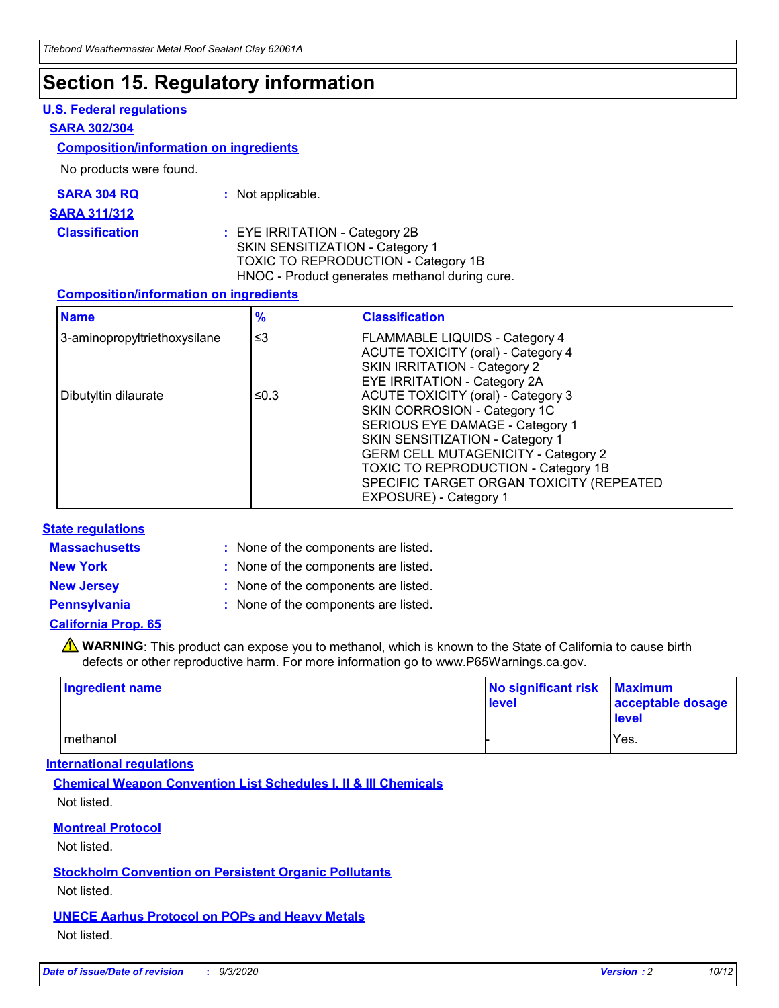### **Section 15. Regulatory information**

### **U.S. Federal regulations**

#### **SARA 302/304**

#### **Composition/information on ingredients**

No products were found.

| SARA 304 RQ | Not applicable. |
|-------------|-----------------|
|-------------|-----------------|

#### **SARA 311/312**

**Classification :** EYE IRRITATION - Category 2B SKIN SENSITIZATION - Category 1 TOXIC TO REPRODUCTION - Category 1B HNOC - Product generates methanol during cure.

### **Composition/information on ingredients**

| <b>Name</b>                  | $\frac{9}{6}$ | <b>Classification</b>                                                                                                                                                                                                                                                                                      |
|------------------------------|---------------|------------------------------------------------------------------------------------------------------------------------------------------------------------------------------------------------------------------------------------------------------------------------------------------------------------|
| 3-aminopropyltriethoxysilane | $\leq$ 3      | <b>FLAMMABLE LIQUIDS - Category 4</b><br><b>ACUTE TOXICITY (oral) - Category 4</b><br><b>SKIN IRRITATION - Category 2</b><br>EYE IRRITATION - Category 2A                                                                                                                                                  |
| Dibutyltin dilaurate         | ≤0.3          | <b>ACUTE TOXICITY (oral) - Category 3</b><br>SKIN CORROSION - Category 1C<br>SERIOUS EYE DAMAGE - Category 1<br>SKIN SENSITIZATION - Category 1<br><b>GERM CELL MUTAGENICITY - Category 2</b><br>TOXIC TO REPRODUCTION - Category 1B<br>SPECIFIC TARGET ORGAN TOXICITY (REPEATED<br>EXPOSURE) - Category 1 |

### **State regulations**

**Massachusetts :**

: None of the components are listed.

**New York :** None of the components are listed. **New Jersey :** None of the components are listed.

**Pennsylvania :** None of the components are listed.

### **California Prop. 65**

WARNING: This product can expose you to methanol, which is known to the State of California to cause birth defects or other reproductive harm. For more information go to www.P65Warnings.ca.gov.

| Ingredient name | No significant risk Maximum<br>level | acceptable dosage<br><b>level</b> |
|-----------------|--------------------------------------|-----------------------------------|
| I methanol      |                                      | Yes.                              |

### **International regulations**

**Chemical Weapon Convention List Schedules I, II & III Chemicals** Not listed.

### **Montreal Protocol**

Not listed.

**Stockholm Convention on Persistent Organic Pollutants**

Not listed.

**UNECE Aarhus Protocol on POPs and Heavy Metals** Not listed.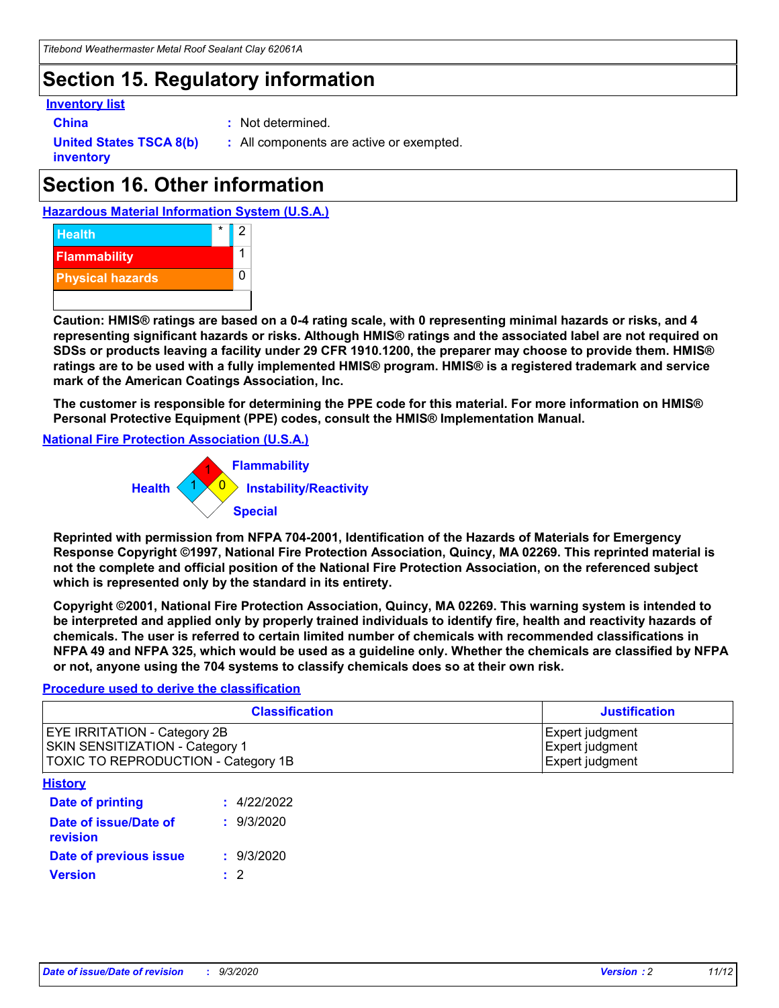## **Section 15. Regulatory information**

### **Inventory list**

- 
- **China :** Not determined.

**United States TSCA 8(b) inventory**

**:** All components are active or exempted.

## **Section 16. Other information**

**Hazardous Material Information System (U.S.A.)**



**Caution: HMIS® ratings are based on a 0-4 rating scale, with 0 representing minimal hazards or risks, and 4 representing significant hazards or risks. Although HMIS® ratings and the associated label are not required on SDSs or products leaving a facility under 29 CFR 1910.1200, the preparer may choose to provide them. HMIS® ratings are to be used with a fully implemented HMIS® program. HMIS® is a registered trademark and service mark of the American Coatings Association, Inc.**

**The customer is responsible for determining the PPE code for this material. For more information on HMIS® Personal Protective Equipment (PPE) codes, consult the HMIS® Implementation Manual.**

**National Fire Protection Association (U.S.A.)**



**Reprinted with permission from NFPA 704-2001, Identification of the Hazards of Materials for Emergency Response Copyright ©1997, National Fire Protection Association, Quincy, MA 02269. This reprinted material is not the complete and official position of the National Fire Protection Association, on the referenced subject which is represented only by the standard in its entirety.**

**Copyright ©2001, National Fire Protection Association, Quincy, MA 02269. This warning system is intended to be interpreted and applied only by properly trained individuals to identify fire, health and reactivity hazards of chemicals. The user is referred to certain limited number of chemicals with recommended classifications in NFPA 49 and NFPA 325, which would be used as a guideline only. Whether the chemicals are classified by NFPA or not, anyone using the 704 systems to classify chemicals does so at their own risk.**

### **Procedure used to derive the classification**

| <b>Classification</b>                                                                                         | <b>Justification</b>                                  |
|---------------------------------------------------------------------------------------------------------------|-------------------------------------------------------|
| <b>EYE IRRITATION - Category 2B</b><br>SKIN SENSITIZATION - Category 1<br>TOXIC TO REPRODUCTION - Category 1B | Expert judgment<br>Expert judgment<br>Expert judgment |
| <b>History</b>                                                                                                |                                                       |

| <b>Date of printing</b>           | : 4/22/2022 |
|-----------------------------------|-------------|
| Date of issue/Date of<br>revision | : 9/3/2020  |
| Date of previous issue            | : 9/3/2020  |
| <b>Version</b>                    | $\cdot$ 2   |
|                                   |             |